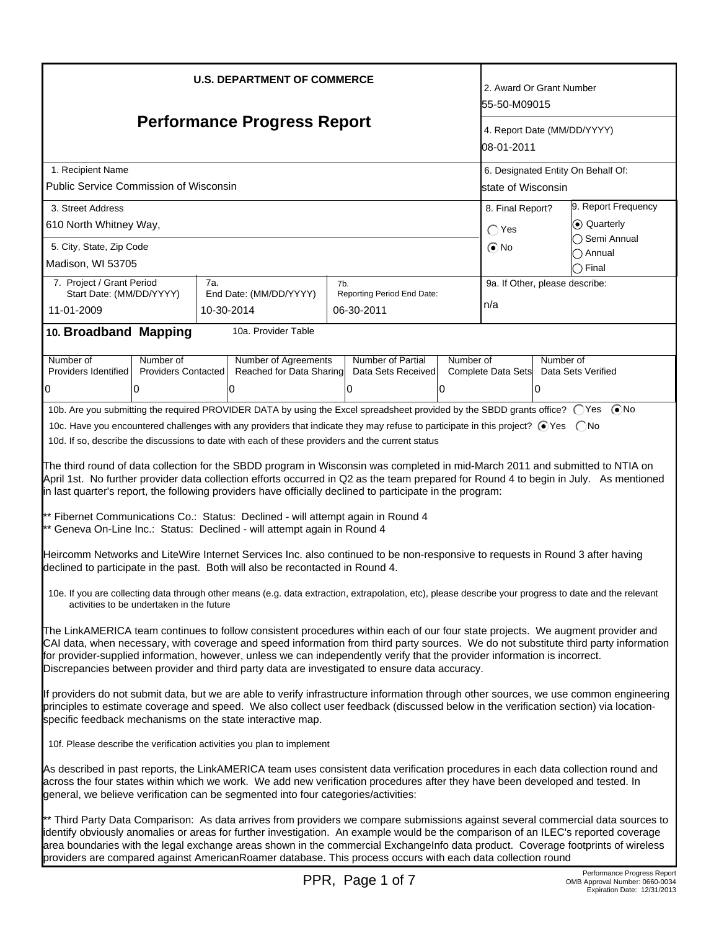| <b>U.S. DEPARTMENT OF COMMERCE</b><br><b>Performance Progress Report</b><br>1. Recipient Name<br><b>Public Service Commission of Wisconsin</b><br>3. Street Address<br>610 North Whitney Way,<br>5. City, State, Zip Code<br>Madison, WI 53705                                                                                                                                                                                                                                                                                                                                                                                                                                                                                                                                                                                                                                                                                                                                                                                                                                                                                                                                                                                                                                                                                                         |                                         |            |                                                  |     |                                          | 2. Award Or Grant Number<br>55-50-M09015<br>4. Report Date (MM/DD/YYYY)<br>108-01-2011<br>6. Designated Entity On Behalf Of:<br>lstate of Wisconsin<br>9. Report Frequency<br>8. Final Report?<br>C Quarterly<br>$\bigcap$ Yes<br>Semi Annual<br>$\odot$ No<br>) Annual<br>) Final |                                |           |                    |
|--------------------------------------------------------------------------------------------------------------------------------------------------------------------------------------------------------------------------------------------------------------------------------------------------------------------------------------------------------------------------------------------------------------------------------------------------------------------------------------------------------------------------------------------------------------------------------------------------------------------------------------------------------------------------------------------------------------------------------------------------------------------------------------------------------------------------------------------------------------------------------------------------------------------------------------------------------------------------------------------------------------------------------------------------------------------------------------------------------------------------------------------------------------------------------------------------------------------------------------------------------------------------------------------------------------------------------------------------------|-----------------------------------------|------------|--------------------------------------------------|-----|------------------------------------------|------------------------------------------------------------------------------------------------------------------------------------------------------------------------------------------------------------------------------------------------------------------------------------|--------------------------------|-----------|--------------------|
| 7. Project / Grant Period                                                                                                                                                                                                                                                                                                                                                                                                                                                                                                                                                                                                                                                                                                                                                                                                                                                                                                                                                                                                                                                                                                                                                                                                                                                                                                                              |                                         | 7a.        |                                                  | 7b. |                                          |                                                                                                                                                                                                                                                                                    | 9a. If Other, please describe: |           |                    |
| Start Date: (MM/DD/YYYY)<br>11-01-2009                                                                                                                                                                                                                                                                                                                                                                                                                                                                                                                                                                                                                                                                                                                                                                                                                                                                                                                                                                                                                                                                                                                                                                                                                                                                                                                 |                                         | 10-30-2014 | End Date: (MM/DD/YYYY)                           |     | Reporting Period End Date:<br>06-30-2011 |                                                                                                                                                                                                                                                                                    | n/a                            |           |                    |
| 10. Broadband Mapping                                                                                                                                                                                                                                                                                                                                                                                                                                                                                                                                                                                                                                                                                                                                                                                                                                                                                                                                                                                                                                                                                                                                                                                                                                                                                                                                  |                                         |            | 10a. Provider Table                              |     |                                          |                                                                                                                                                                                                                                                                                    |                                |           |                    |
|                                                                                                                                                                                                                                                                                                                                                                                                                                                                                                                                                                                                                                                                                                                                                                                                                                                                                                                                                                                                                                                                                                                                                                                                                                                                                                                                                        |                                         |            |                                                  |     |                                          |                                                                                                                                                                                                                                                                                    |                                |           |                    |
| Number of<br>Providers Identified                                                                                                                                                                                                                                                                                                                                                                                                                                                                                                                                                                                                                                                                                                                                                                                                                                                                                                                                                                                                                                                                                                                                                                                                                                                                                                                      | Number of<br><b>Providers Contacted</b> |            | Number of Agreements<br>Reached for Data Sharing |     | Number of Partial<br>Data Sets Received  | Number of                                                                                                                                                                                                                                                                          | Complete Data Sets             | Number of | Data Sets Verified |
| 0                                                                                                                                                                                                                                                                                                                                                                                                                                                                                                                                                                                                                                                                                                                                                                                                                                                                                                                                                                                                                                                                                                                                                                                                                                                                                                                                                      | 0                                       |            | 0                                                |     | 0                                        | 10                                                                                                                                                                                                                                                                                 |                                | 10        |                    |
| 10c. Have you encountered challenges with any providers that indicate they may refuse to participate in this project? ⊙Yes  ONo<br>10d. If so, describe the discussions to date with each of these providers and the current status<br>The third round of data collection for the SBDD program in Wisconsin was completed in mid-March 2011 and submitted to NTIA on<br>April 1st. No further provider data collection efforts occurred in Q2 as the team prepared for Round 4 to begin in July. As mentioned<br>in last quarter's report, the following providers have officially declined to participate in the program:<br>** Fibernet Communications Co.: Status: Declined - will attempt again in Round 4<br>** Geneva On-Line Inc.: Status: Declined - will attempt again in Round 4<br>Heircomm Networks and LiteWire Internet Services Inc. also continued to be non-responsive to requests in Round 3 after having<br>declined to participate in the past. Both will also be recontacted in Round 4.<br>10e. If you are collecting data through other means (e.g. data extraction, extrapolation, etc), please describe your progress to date and the relevant<br>activities to be undertaken in the future<br>The LinkAMERICA team continues to follow consistent procedures within each of our four state projects. We augment provider and |                                         |            |                                                  |     |                                          |                                                                                                                                                                                                                                                                                    |                                |           |                    |
| CAI data, when necessary, with coverage and speed information from third party sources. We do not substitute third party information<br>for provider-supplied information, however, unless we can independently verify that the provider information is incorrect.<br>Discrepancies between provider and third party data are investigated to ensure data accuracy.<br>If providers do not submit data, but we are able to verify infrastructure information through other sources, we use common engineering<br>principles to estimate coverage and speed. We also collect user feedback (discussed below in the verification section) via location-<br>specific feedback mechanisms on the state interactive map.<br>10f. Please describe the verification activities you plan to implement<br>As described in past reports, the LinkAMERICA team uses consistent data verification procedures in each data collection round and<br>across the four states within which we work. We add new verification procedures after they have been developed and tested. In<br>general, we believe verification can be segmented into four categories/activities:                                                                                                                                                                                              |                                         |            |                                                  |     |                                          |                                                                                                                                                                                                                                                                                    |                                |           |                    |
| ** Third Party Data Comparison: As data arrives from providers we compare submissions against several commercial data sources to<br>identify obviously anomalies or areas for further investigation. An example would be the comparison of an ILEC's reported coverage<br>area boundaries with the legal exchange areas shown in the commercial Exchangelnfo data product. Coverage footprints of wireless<br>providers are compared against AmericanRoamer database. This process occurs with each data collection round<br>Performance Progress Report                                                                                                                                                                                                                                                                                                                                                                                                                                                                                                                                                                                                                                                                                                                                                                                               |                                         |            |                                                  |     |                                          |                                                                                                                                                                                                                                                                                    |                                |           |                    |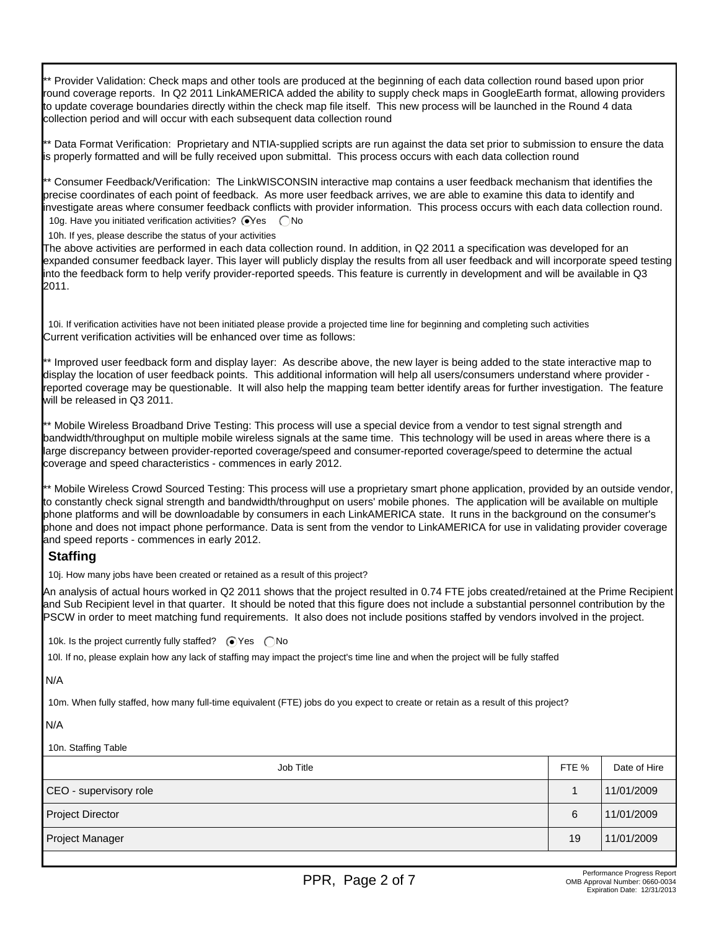\*\* Provider Validation: Check maps and other tools are produced at the beginning of each data collection round based upon prior round coverage reports. In Q2 2011 LinkAMERICA added the ability to supply check maps in GoogleEarth format, allowing providers to update coverage boundaries directly within the check map file itself. This new process will be launched in the Round 4 data collection period and will occur with each subsequent data collection round

\*\* Data Format Verification: Proprietary and NTIA-supplied scripts are run against the data set prior to submission to ensure the data is properly formatted and will be fully received upon submittal. This process occurs with each data collection round

\*\* Consumer Feedback/Verification: The LinkWISCONSIN interactive map contains a user feedback mechanism that identifies the precise coordinates of each point of feedback. As more user feedback arrives, we are able to examine this data to identify and investigate areas where consumer feedback conflicts with provider information. This process occurs with each data collection round. 10g. Have you initiated verification activities?  $\bigcirc$ Yes  $\bigcirc$ No

10h. If yes, please describe the status of your activities

The above activities are performed in each data collection round. In addition, in Q2 2011 a specification was developed for an expanded consumer feedback layer. This layer will publicly display the results from all user feedback and will incorporate speed testing into the feedback form to help verify provider-reported speeds. This feature is currently in development and will be available in Q3 2011.

10i. If verification activities have not been initiated please provide a projected time line for beginning and completing such activities Current verification activities will be enhanced over time as follows:

\*\* Improved user feedback form and display layer: As describe above, the new layer is being added to the state interactive map to display the location of user feedback points. This additional information will help all users/consumers understand where provider reported coverage may be questionable. It will also help the mapping team better identify areas for further investigation. The feature will be released in Q3 2011.

\*\* Mobile Wireless Broadband Drive Testing: This process will use a special device from a vendor to test signal strength and bandwidth/throughput on multiple mobile wireless signals at the same time. This technology will be used in areas where there is a large discrepancy between provider-reported coverage/speed and consumer-reported coverage/speed to determine the actual coverage and speed characteristics - commences in early 2012.

\*\* Mobile Wireless Crowd Sourced Testing: This process will use a proprietary smart phone application, provided by an outside vendor, to constantly check signal strength and bandwidth/throughput on users' mobile phones. The application will be available on multiple phone platforms and will be downloadable by consumers in each LinkAMERICA state. It runs in the background on the consumer's phone and does not impact phone performance. Data is sent from the vendor to LinkAMERICA for use in validating provider coverage and speed reports - commences in early 2012.

# **Staffing**

10j. How many jobs have been created or retained as a result of this project?

An analysis of actual hours worked in Q2 2011 shows that the project resulted in 0.74 FTE jobs created/retained at the Prime Recipient and Sub Recipient level in that quarter. It should be noted that this figure does not include a substantial personnel contribution by the PSCW in order to meet matching fund requirements. It also does not include positions staffed by vendors involved in the project.

10k. Is the project currently fully staffed?  $\bigcirc$  Yes  $\bigcirc$  No

10l. If no, please explain how any lack of staffing may impact the project's time line and when the project will be fully staffed

### N/A

10m. When fully staffed, how many full-time equivalent (FTE) jobs do you expect to create or retain as a result of this project?

### N/A

### 10n. Staffing Table

| Job Title              | FTE % | Date of Hire |
|------------------------|-------|--------------|
| CEO - supervisory role |       | 11/01/2009   |
| Project Director       | 6     | 11/01/2009   |
| Project Manager        | 19    | 11/01/2009   |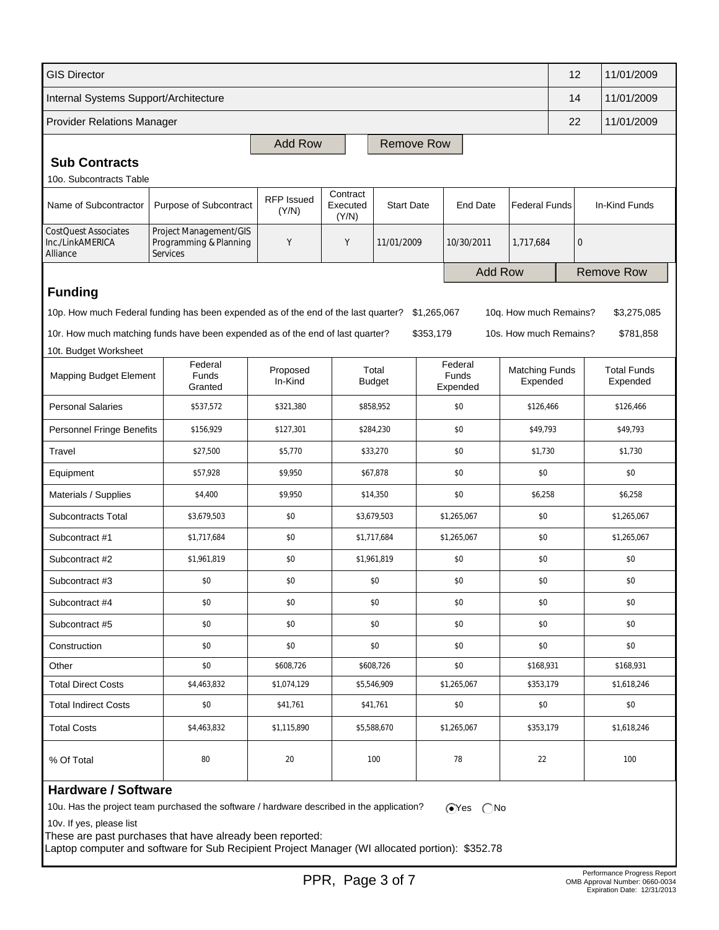| <b>GIS Director</b>                                         |                                                                                    |                            |                               |                        |             |                              |                                   | 12                | 11/01/2009                     |
|-------------------------------------------------------------|------------------------------------------------------------------------------------|----------------------------|-------------------------------|------------------------|-------------|------------------------------|-----------------------------------|-------------------|--------------------------------|
| Internal Systems Support/Architecture                       |                                                                                    |                            |                               |                        |             |                              |                                   | 14                | 11/01/2009                     |
| <b>Provider Relations Manager</b>                           |                                                                                    |                            |                               |                        |             |                              |                                   | 22                | 11/01/2009                     |
| <b>Add Row</b><br><b>Remove Row</b>                         |                                                                                    |                            |                               |                        |             |                              |                                   |                   |                                |
| <b>Sub Contracts</b>                                        |                                                                                    |                            |                               |                        |             |                              |                                   |                   |                                |
| 10o. Subcontracts Table                                     |                                                                                    |                            |                               |                        |             |                              |                                   |                   |                                |
| Name of Subcontractor                                       | Purpose of Subcontract                                                             | <b>RFP Issued</b><br>(Y/N) | Contract<br>Executed<br>(Y/N) | <b>Start Date</b>      |             | <b>End Date</b>              | <b>Federal Funds</b>              |                   | In-Kind Funds                  |
| <b>CostQuest Associates</b><br>Inc./LinkAMERICA<br>Alliance | Project Management/GIS<br>Programming & Planning<br><b>Services</b>                | Y                          | Y                             | 11/01/2009             |             | 10/30/2011                   | 1,717,684<br>$\mathbf{0}$         |                   |                                |
|                                                             |                                                                                    |                            |                               | <b>Add Row</b>         |             |                              |                                   | <b>Remove Row</b> |                                |
| <b>Funding</b>                                              |                                                                                    |                            |                               |                        |             |                              |                                   |                   |                                |
|                                                             | 10p. How much Federal funding has been expended as of the end of the last quarter? |                            |                               |                        | \$1,265,067 |                              | 10q. How much Remains?            |                   | \$3,275,085                    |
|                                                             | 10r. How much matching funds have been expended as of the end of last quarter?     |                            |                               |                        | \$353,179   |                              | 10s. How much Remains?            |                   | \$781,858                      |
| 10t. Budget Worksheet                                       |                                                                                    |                            |                               |                        |             |                              |                                   |                   |                                |
| <b>Mapping Budget Element</b>                               | Federal<br><b>Funds</b><br>Granted                                                 | Proposed<br>In-Kind        |                               | Total<br><b>Budget</b> |             | Federal<br>Funds<br>Expended | <b>Matching Funds</b><br>Expended |                   | <b>Total Funds</b><br>Expended |
| <b>Personal Salaries</b>                                    | \$537,572                                                                          | \$321,380                  |                               | \$858,952              | \$0         |                              | \$126,466                         |                   | \$126,466                      |
| <b>Personnel Fringe Benefits</b>                            | \$156,929                                                                          | \$127,301                  |                               | \$284,230              | \$0         |                              | \$49,793                          |                   | \$49,793                       |
| Travel                                                      | \$27,500                                                                           | \$5,770                    |                               | \$33,270               | \$0         |                              | \$1,730                           |                   | \$1,730                        |
| Equipment                                                   | \$57,928                                                                           | \$9,950                    |                               | \$67,878               | \$0         |                              | \$0                               |                   | \$0                            |
| Materials / Supplies                                        | \$4,400                                                                            | \$9,950                    |                               | \$0<br>\$14,350        |             |                              | \$6,258                           |                   | \$6,258                        |
| Subcontracts Total                                          | \$3,679,503                                                                        | \$0                        |                               | \$3,679,503            |             | \$1,265,067<br>\$0           |                                   |                   | \$1,265,067                    |
| Subcontract #1                                              | \$1,717,684                                                                        | \$0                        |                               | \$1,717,684            |             | \$1,265,067                  | \$0                               |                   | \$1,265,067                    |
| Subcontract #2                                              | \$1,961,819                                                                        | \$0                        |                               | \$1,961,819            |             | \$0                          | \$0                               |                   | \$0                            |
| Subcontract #3                                              | \$0                                                                                | \$0                        |                               | \$0                    |             | \$0                          | \$0                               |                   | \$0                            |
| Subcontract #4                                              | \$0                                                                                | \$0                        |                               | \$0                    |             | \$0                          | \$0                               |                   | \$0                            |
| Subcontract #5                                              | \$0                                                                                | \$0                        |                               | \$0                    |             | \$0                          | \$0                               |                   | \$0                            |
| Construction                                                | \$0                                                                                | \$0                        |                               | \$0                    |             | \$0                          | \$0                               |                   | \$0                            |
| Other                                                       | \$0                                                                                | \$608,726                  |                               | \$608,726              |             | \$0                          | \$168,931                         |                   | \$168,931                      |
| <b>Total Direct Costs</b>                                   | \$4,463,832                                                                        | \$1,074,129                |                               | \$5,546,909            |             | \$1,265,067                  | \$353,179                         |                   | \$1,618,246                    |
| <b>Total Indirect Costs</b>                                 | \$0                                                                                | \$41,761                   |                               | \$41,761               |             | \$0                          | \$0                               |                   | \$0                            |
| <b>Total Costs</b>                                          | \$4,463,832                                                                        | \$1,115,890                |                               | \$5,588,670            |             | \$1,265,067                  | \$353,179                         |                   | \$1,618,246                    |
| % Of Total                                                  | 80                                                                                 | 20                         |                               | 100                    |             | 78                           |                                   |                   | 100                            |
| <b>Hardware / Software</b>                                  |                                                                                    |                            |                               |                        |             |                              |                                   |                   |                                |

10u. Has the project team purchased the software / hardware described in the application?  $\bigcirc$ Yes  $\bigcirc$ No

10v. If yes, please list

These are past purchases that have already been reported:

Laptop computer and software for Sub Recipient Project Manager (WI allocated portion): \$352.78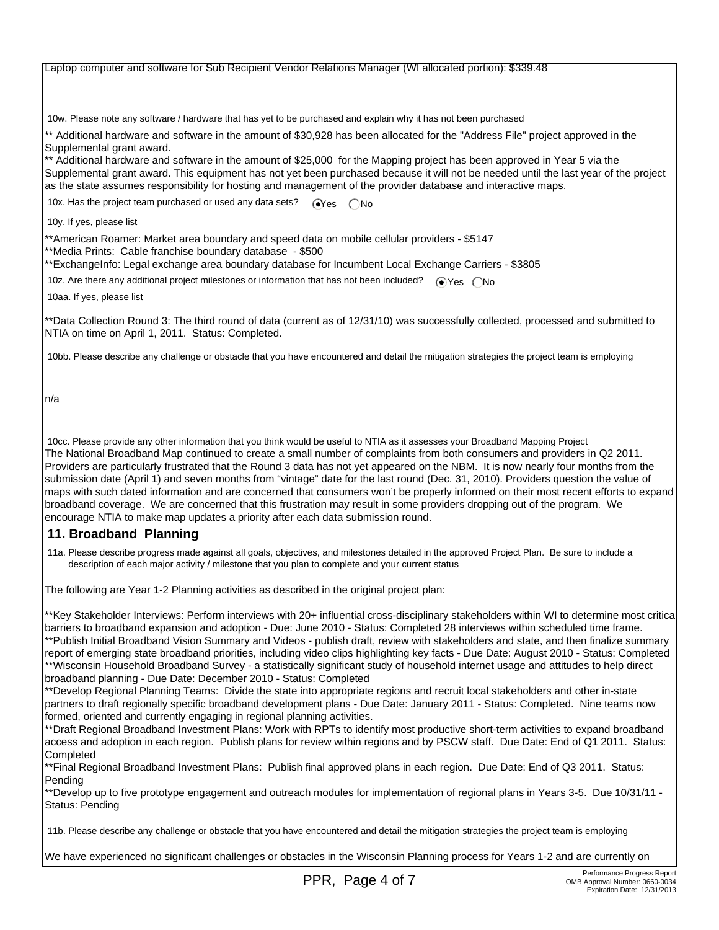#### Laptop computer and software for Sub Recipient Vendor Relations Manager (WI allocated portion): \$339.48

10w. Please note any software / hardware that has yet to be purchased and explain why it has not been purchased

\*\* Additional hardware and software in the amount of \$30,928 has been allocated for the "Address File" project approved in the Supplemental grant award.

\*\* Additional hardware and software in the amount of \$25,000 for the Mapping project has been approved in Year 5 via the Supplemental grant award. This equipment has not yet been purchased because it will not be needed until the last year of the project as the state assumes responsibility for hosting and management of the provider database and interactive maps.

10x. Has the project team purchased or used any data sets?  $\sqrt{\phantom{a}}\$ es  $\binom{\frown}{\frown}$ No

10y. If yes, please list

\*\*American Roamer: Market area boundary and speed data on mobile cellular providers - \$5147

\*\*Media Prints: Cable franchise boundary database - \$500

\*\*ExchangeInfo: Legal exchange area boundary database for Incumbent Local Exchange Carriers - \$3805

10z. Are there any additional project milestones or information that has not been included?  $\bigcirc$  Yes  $\bigcirc$  No

10aa. If yes, please list

\*\*Data Collection Round 3: The third round of data (current as of 12/31/10) was successfully collected, processed and submitted to NTIA on time on April 1, 2011. Status: Completed.

10bb. Please describe any challenge or obstacle that you have encountered and detail the mitigation strategies the project team is employing

n/a

 10cc. Please provide any other information that you think would be useful to NTIA as it assesses your Broadband Mapping Project The National Broadband Map continued to create a small number of complaints from both consumers and providers in Q2 2011. Providers are particularly frustrated that the Round 3 data has not yet appeared on the NBM. It is now nearly four months from the submission date (April 1) and seven months from "vintage" date for the last round (Dec. 31, 2010). Providers question the value of maps with such dated information and are concerned that consumers won't be properly informed on their most recent efforts to expand broadband coverage. We are concerned that this frustration may result in some providers dropping out of the program. We encourage NTIA to make map updates a priority after each data submission round.

### **11. Broadband Planning**

 11a. Please describe progress made against all goals, objectives, and milestones detailed in the approved Project Plan. Be sure to include a description of each major activity / milestone that you plan to complete and your current status

The following are Year 1-2 Planning activities as described in the original project plan:

\*\*Key Stakeholder Interviews: Perform interviews with 20+ influential cross-disciplinary stakeholders within WI to determine most critical barriers to broadband expansion and adoption - Due: June 2010 - Status: Completed 28 interviews within scheduled time frame. \*\*Publish Initial Broadband Vision Summary and Videos - publish draft, review with stakeholders and state, and then finalize summary report of emerging state broadband priorities, including video clips highlighting key facts - Due Date: August 2010 - Status: Completed \*\*Wisconsin Household Broadband Survey - a statistically significant study of household internet usage and attitudes to help direct broadband planning - Due Date: December 2010 - Status: Completed

\*\*Develop Regional Planning Teams: Divide the state into appropriate regions and recruit local stakeholders and other in-state partners to draft regionally specific broadband development plans - Due Date: January 2011 - Status: Completed. Nine teams now formed, oriented and currently engaging in regional planning activities.

\*\*Draft Regional Broadband Investment Plans: Work with RPTs to identify most productive short-term activities to expand broadband access and adoption in each region. Publish plans for review within regions and by PSCW staff. Due Date: End of Q1 2011. Status: **Completed** 

\*\*Final Regional Broadband Investment Plans: Publish final approved plans in each region. Due Date: End of Q3 2011. Status: Pending

\*\*Develop up to five prototype engagement and outreach modules for implementation of regional plans in Years 3-5. Due 10/31/11 - Status: Pending

11b. Please describe any challenge or obstacle that you have encountered and detail the mitigation strategies the project team is employing

We have experienced no significant challenges or obstacles in the Wisconsin Planning process for Years 1-2 and are currently on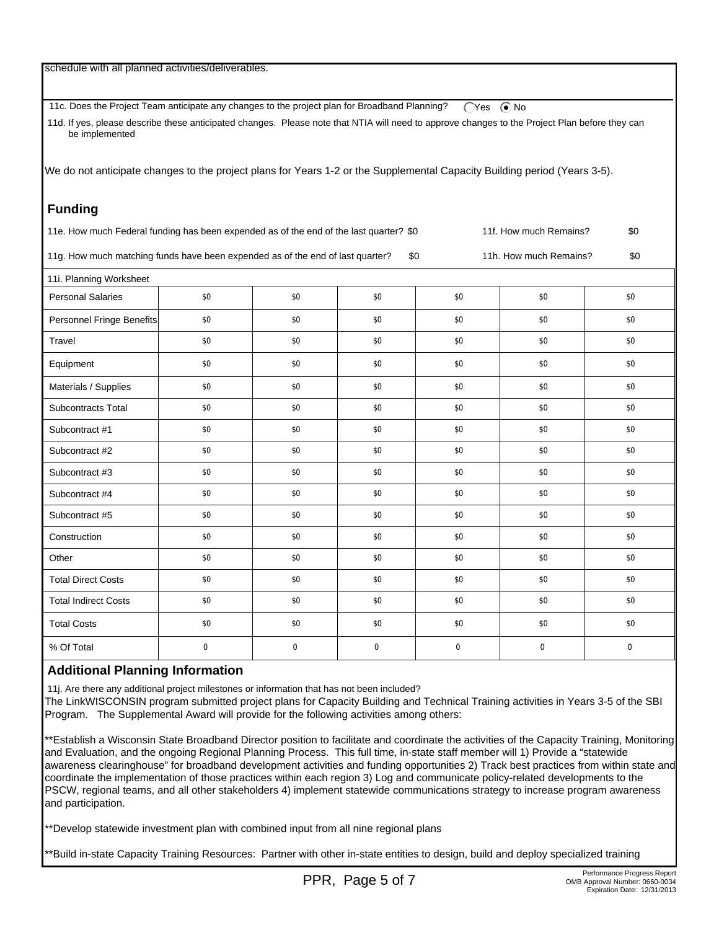| schedule with all planned activities/deliverables.                                                                                                               |                  |           |           |           |                        |           |  |
|------------------------------------------------------------------------------------------------------------------------------------------------------------------|------------------|-----------|-----------|-----------|------------------------|-----------|--|
| 11c. Does the Project Team anticipate any changes to the project plan for Broadband Planning?<br>$\bigcap$ Yes $\bigcirc$ No                                     |                  |           |           |           |                        |           |  |
| 11d. If yes, please describe these anticipated changes. Please note that NTIA will need to approve changes to the Project Plan before they can<br>be implemented |                  |           |           |           |                        |           |  |
|                                                                                                                                                                  |                  |           |           |           |                        |           |  |
| We do not anticipate changes to the project plans for Years 1-2 or the Supplemental Capacity Building period (Years 3-5).                                        |                  |           |           |           |                        |           |  |
| <b>Funding</b>                                                                                                                                                   |                  |           |           |           |                        |           |  |
| 11e. How much Federal funding has been expended as of the end of the last quarter? \$0<br>11f. How much Remains?<br>\$0                                          |                  |           |           |           |                        |           |  |
| 11g. How much matching funds have been expended as of the end of last quarter?                                                                                   |                  |           |           | \$0       | 11h. How much Remains? | \$0       |  |
| 11i. Planning Worksheet                                                                                                                                          |                  |           |           |           |                        |           |  |
| <b>Personal Salaries</b>                                                                                                                                         | \$0              | \$0       | \$0       | \$0       | \$0                    | \$0       |  |
| Personnel Fringe Benefits                                                                                                                                        | \$0              | \$0       | \$0       | \$0       | \$0                    | \$0       |  |
| Travel                                                                                                                                                           | \$0              | \$0       | \$0       | \$0       | \$0                    | \$0       |  |
| Equipment                                                                                                                                                        | \$0              | \$0       | \$0       | \$0       | \$0                    | \$0       |  |
| Materials / Supplies                                                                                                                                             | \$0              | \$0       | \$0       | \$0       | \$0                    | \$0       |  |
| Subcontracts Total                                                                                                                                               | \$0              | \$0       | \$0       | \$0       | \$0                    | \$0       |  |
| Subcontract #1                                                                                                                                                   | \$0              | \$0       | \$0       | \$0       | \$0                    | \$0       |  |
| Subcontract #2                                                                                                                                                   | \$0              | \$0       | \$0       | \$0       | \$0                    | \$0       |  |
| Subcontract #3                                                                                                                                                   | \$0              | \$0       | \$0       | \$0       | \$0                    | \$0       |  |
| Subcontract #4                                                                                                                                                   | \$0              | \$0       | \$0       | \$0       | \$0                    | \$0       |  |
| Subcontract #5                                                                                                                                                   | \$0              | \$0       | \$0       | \$0       | \$0                    | \$0       |  |
| Construction                                                                                                                                                     | \$0              | \$0       | \$0       | \$0       | \$0                    | \$0       |  |
| Other                                                                                                                                                            | \$0              | \$0       | \$0       | \$0       | \$0                    | \$0       |  |
| <b>Total Direct Costs</b>                                                                                                                                        | \$0              | \$0       | \$0       | \$0       | \$0                    | \$0       |  |
| <b>Total Indirect Costs</b>                                                                                                                                      | \$0              | \$0       | \$0       | \$0       | \$0                    | \$0       |  |
| <b>Total Costs</b>                                                                                                                                               | \$0              | \$0       | \$0       | \$0       | \$0                    | \$0       |  |
| % Of Total                                                                                                                                                       | $\boldsymbol{0}$ | $\pmb{0}$ | $\pmb{0}$ | $\pmb{0}$ | 0                      | $\pmb{0}$ |  |

# **Additional Planning Information**

11j. Are there any additional project milestones or information that has not been included?

The LinkWISCONSIN program submitted project plans for Capacity Building and Technical Training activities in Years 3-5 of the SBI Program. The Supplemental Award will provide for the following activities among others:

\*\*Establish a Wisconsin State Broadband Director position to facilitate and coordinate the activities of the Capacity Training, Monitoring and Evaluation, and the ongoing Regional Planning Process. This full time, in-state staff member will 1) Provide a "statewide awareness clearinghouse" for broadband development activities and funding opportunities 2) Track best practices from within state and coordinate the implementation of those practices within each region 3) Log and communicate policy-related developments to the PSCW, regional teams, and all other stakeholders 4) implement statewide communications strategy to increase program awareness and participation.

\*\*Develop statewide investment plan with combined input from all nine regional plans

\*\*Build in-state Capacity Training Resources: Partner with other in-state entities to design, build and deploy specialized training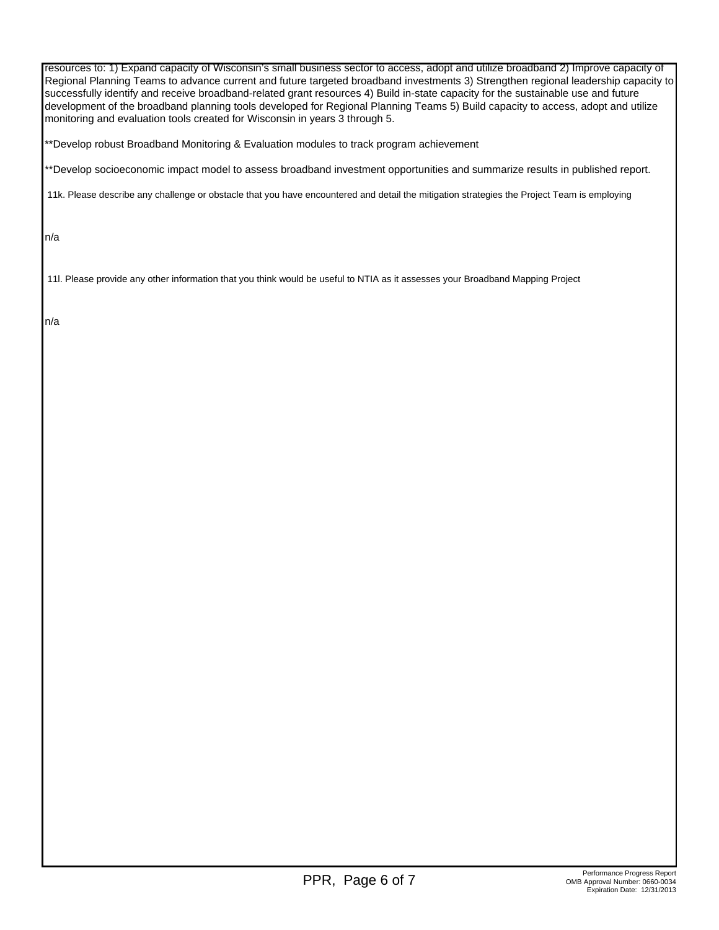resources to: 1) Expand capacity of Wisconsin's small business sector to access, adopt and utilize broadband 2) Improve capacity of Regional Planning Teams to advance current and future targeted broadband investments 3) Strengthen regional leadership capacity to successfully identify and receive broadband-related grant resources 4) Build in-state capacity for the sustainable use and future development of the broadband planning tools developed for Regional Planning Teams 5) Build capacity to access, adopt and utilize monitoring and evaluation tools created for Wisconsin in years 3 through 5.

\*\*Develop robust Broadband Monitoring & Evaluation modules to track program achievement

\*\*Develop socioeconomic impact model to assess broadband investment opportunities and summarize results in published report.

11k. Please describe any challenge or obstacle that you have encountered and detail the mitigation strategies the Project Team is employing

n/a

11l. Please provide any other information that you think would be useful to NTIA as it assesses your Broadband Mapping Project

n/a